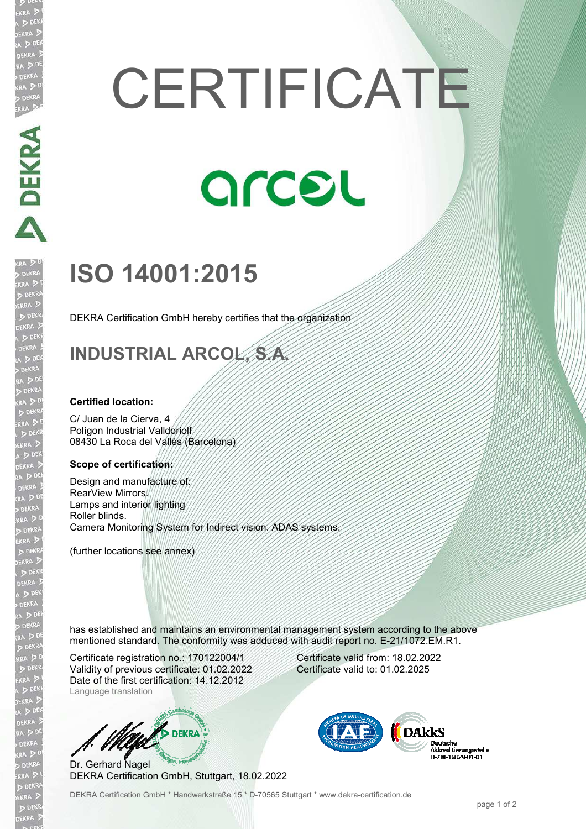# **CERTIFICATE**

# arcel

## **ISO 14001:2015**

DEKRA Certification GmbH hereby certifies that the organization

### **INDUSTRIAL ARCOL, S.A.**

#### **Certified location:**

C/ Juan de la Cierva, 4 Polígon Industrial Valldoriolf 08430 La Roca del Vallès (Barcelona)

#### **Scope of certification:**

Design and manufacture of: RearView Mirrors. Lamps and interior lighting Roller blinds. Camera Monitoring System for Indirect vision. ADAS systems.

(further locations see annex)

has established and maintains an environmental management system according to the above mentioned standard. The conformity was adduced with audit report no. E-21/1072.EM.R1.

Certificate registration no.: 170122004/1 Validity of previous certificate: 01.02.2022 Date of the first certification: 14.12.2012 Language translation



Dr. Gerhard Nagel DEKRA Certification GmbH, Stuttgart, 18.02.2022

DEKRA Certification GmbH \* Handwerkstraße 15 \* D-70565 Stuttgart \* www.dekra-certification.de

Certificate valid from: 18.02.2022 Certificate valid to: 01.02.2025



**DEKRA**